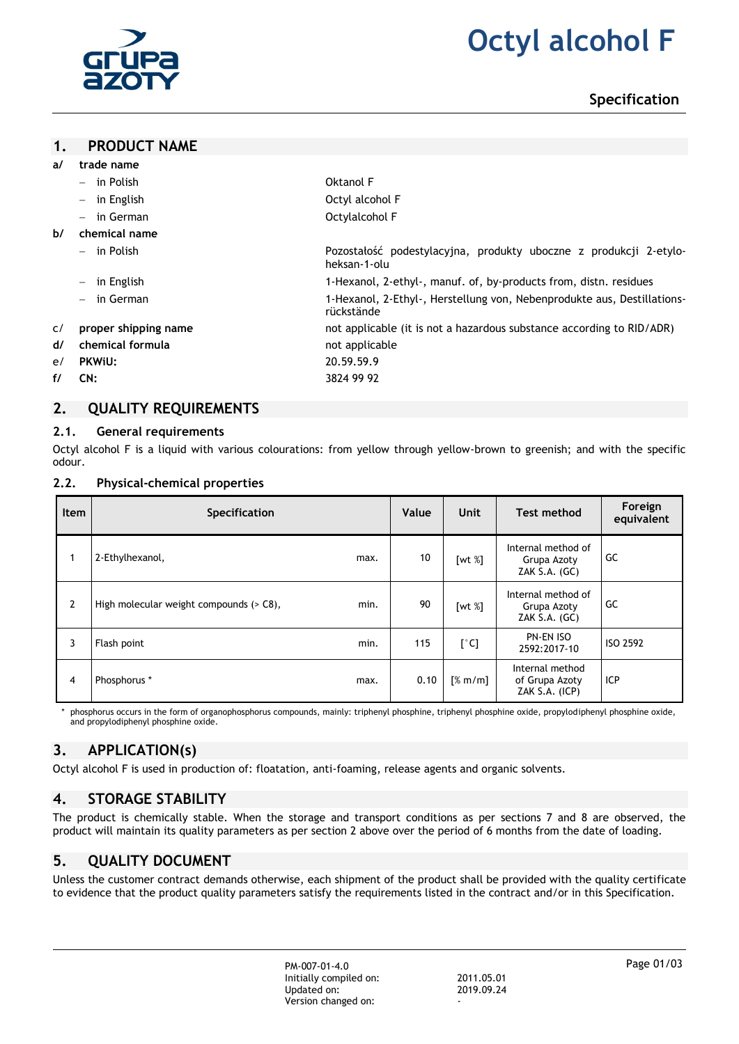

# **2. Octyl alcohol F**

# **Specification**

#### **1. PRODUCT NAME**

| trade name                             |                                                                                       |
|----------------------------------------|---------------------------------------------------------------------------------------|
| $-$ in Polish                          | Oktanol F                                                                             |
| in English<br>$-$                      | Octyl alcohol F                                                                       |
| in German<br>$-$                       | Octylalcohol F                                                                        |
| chemical name                          |                                                                                       |
| $-$ in Polish                          | Pozostałość podestylacyjna, produkty uboczne z produkcji 2-etylo-<br>heksan-1-olu     |
| in English<br>$\overline{\phantom{m}}$ | 1-Hexanol, 2-ethyl-, manuf. of, by-products from, distn. residues                     |
| $-$ in German                          | 1-Hexanol, 2-Ethyl-, Herstellung von, Nebenprodukte aus, Destillations-<br>rückstände |
| proper shipping name                   | not applicable (it is not a hazardous substance according to RID/ADR)                 |
| chemical formula                       | not applicable                                                                        |
| <b>PKWiU:</b>                          | 20.59.59.9                                                                            |
| CN:                                    | 3824 99 92                                                                            |
|                                        |                                                                                       |

# **2. QUALITY REQUIREMENTS**

#### **2.1. General requirements**

Octyl alcohol F is a liquid with various colourations: from yellow through yellow-brown to greenish; and with the specific odour.

#### **2.2. Physical-chemical properties**

| <b>Item</b>    | Specification                           |      | Value | <b>Unit</b>   | Test method                                          | Foreign<br>equivalent |
|----------------|-----------------------------------------|------|-------|---------------|------------------------------------------------------|-----------------------|
|                | 2-Ethylhexanol,                         | max. | 10    | [wt $%$ ]     | Internal method of<br>Grupa Azoty<br>ZAK S.A. (GC)   | GC                    |
| $\overline{2}$ | High molecular weight compounds (> C8), | min. | 90    | [wt $%$ ]     | Internal method of<br>Grupa Azoty<br>ZAK $S.A.$ (GC) | GC                    |
| 3              | Flash point                             | min. | 115   | $[^{\circ}C]$ | PN-EN ISO<br>2592:2017-10                            | ISO 2592              |
| $\overline{4}$ | Phosphorus *                            | max. | 0.10  | [% m/m]       | Internal method<br>of Grupa Azoty<br>ZAK S.A. (ICP)  | ICP                   |

phosphorus occurs in the form of organophosphorus compounds, mainly: triphenyl phosphine, triphenyl phosphine oxide, propylodiphenyl phosphine oxide, and propylodiphenyl phosphine oxide.

# **3. APPLICATION(s)**

Octyl alcohol F is used in production of: floatation, anti-foaming, release agents and organic solvents.

# **4. STORAGE STABILITY**

The product is chemically stable. When the storage and transport conditions as per sections 7 and 8 are observed, the product will maintain its quality parameters as per section 2 above over the period of 6 months from the date of loading.

# **5. QUALITY DOCUMENT**

Unless the customer contract demands otherwise, each shipment of the product shall be provided with the quality certificate to evidence that the product quality parameters satisfy the requirements listed in the contract and/or in this Specification.

> PM-007-01-4.0 Initially compiled on: 2011.05.01 Updated on: Version changed on: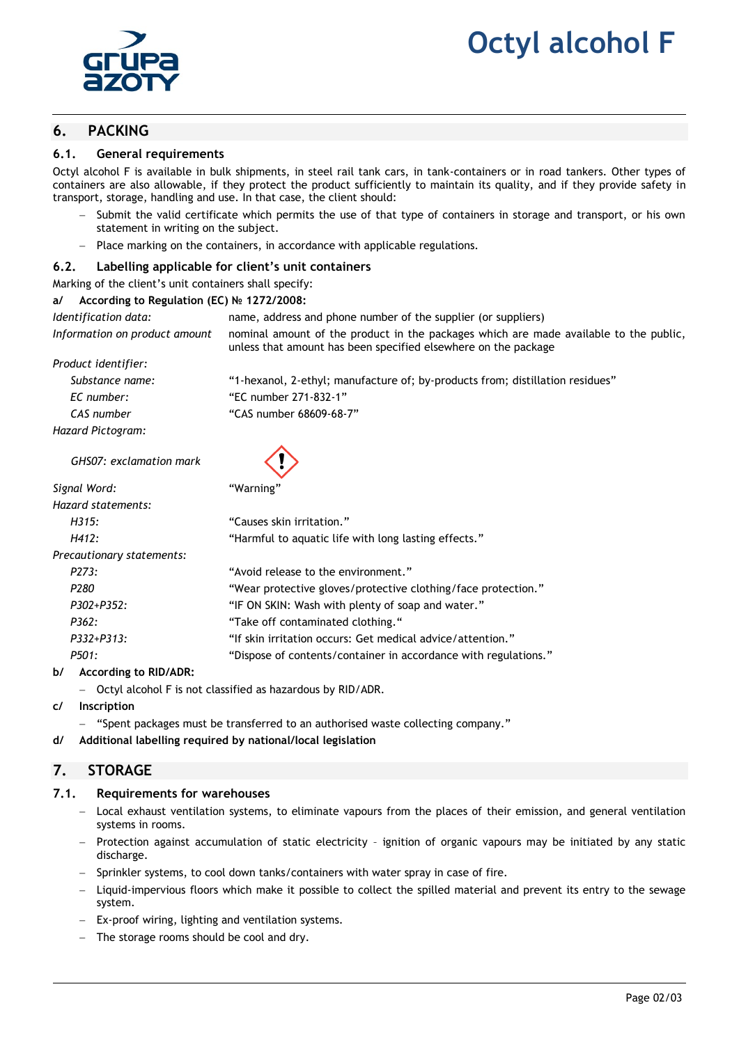

# **6. PACKING**

#### **6.1. General requirements**

Octyl alcohol F is available in bulk shipments, in steel rail tank cars, in tank-containers or in road tankers. Other types of containers are also allowable, if they protect the product sufficiently to maintain its quality, and if they provide safety in transport, storage, handling and use. In that case, the client should:

- Submit the valid certificate which permits the use of that type of containers in storage and transport, or his own statement in writing on the subject.
- Place marking on the containers, in accordance with applicable regulations.

#### **6.2. Labelling applicable for client's unit containers**

Marking of the client's unit containers shall specify:

#### **a/ According to Regulation (EC) № 1272/2008:**

| Identification data:          | name, address and phone number of the supplier (or suppliers)                                                                                           |  |  |
|-------------------------------|---------------------------------------------------------------------------------------------------------------------------------------------------------|--|--|
| Information on product amount | nominal amount of the product in the packages which are made available to the public,<br>unless that amount has been specified elsewhere on the package |  |  |
| Product identifier:           |                                                                                                                                                         |  |  |
| Substance name:               | "1-hexanol, 2-ethyl; manufacture of; by-products from; distillation residues"                                                                           |  |  |
| EC number:                    | "EC number 271-832-1"                                                                                                                                   |  |  |
| CAS number                    | "CAS number 68609-68-7"                                                                                                                                 |  |  |
| Hazard Pictogram:             |                                                                                                                                                         |  |  |
| GHS07: exclamation mark       |                                                                                                                                                         |  |  |

| Signal Word:              | "Warning"                                                       |
|---------------------------|-----------------------------------------------------------------|
| Hazard statements:        |                                                                 |
| H315:                     | "Causes skin irritation."                                       |
| H412:                     | "Harmful to aquatic life with long lasting effects."            |
| Precautionary statements: |                                                                 |
| P273:                     | "Avoid release to the environment."                             |
| P <sub>280</sub>          | "Wear protective gloves/protective clothing/face protection."   |
| P302+P352:                | "IF ON SKIN: Wash with plenty of soap and water."               |
| P362:                     | "Take off contaminated clothing."                               |
| $P332+P313:$              | "If skin irritation occurs: Get medical advice/attention."      |
| P501:                     | "Dispose of contents/container in accordance with regulations." |
|                           |                                                                 |

#### **b/ According to RID/ADR:**

- Octyl alcohol F is not classified as hazardous by RID/ADR.
- **c/ Inscription**
	- "Spent packages must be transferred to an authorised waste collecting company."
- **d/ Additional labelling required by national/local legislation**

# **7. STORAGE**

#### **7.1. Requirements for warehouses**

- Local exhaust ventilation systems, to eliminate vapours from the places of their emission, and general ventilation systems in rooms.
- Protection against accumulation of static electricity ignition of organic vapours may be initiated by any static discharge.
- Sprinkler systems, to cool down tanks/containers with water spray in case of fire.
- Liquid-impervious floors which make it possible to collect the spilled material and prevent its entry to the sewage system.
- Ex-proof wiring, lighting and ventilation systems.
- The storage rooms should be cool and dry.